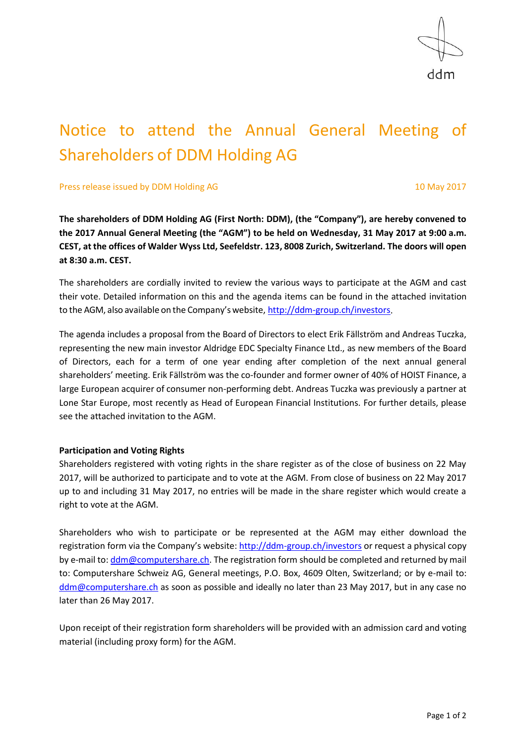ddm

# Notice to attend the Annual General Meeting of Shareholders of DDM Holding AG

Press release issued by DDM Holding AG 10 May 2017

**The shareholders of DDM Holding AG (First North: DDM), (the "Company"), are hereby convened to the 2017 Annual General Meeting (the "AGM") to be held on Wednesday, 31 May 2017 at 9:00 a.m. CEST, at the offices of Walder Wyss Ltd, Seefeldstr. 123, 8008 Zurich, Switzerland. The doors will open at 8:30 a.m. CEST.**

The shareholders are cordially invited to review the various ways to participate at the AGM and cast their vote. Detailed information on this and the agenda items can be found in the attached invitation to the AGM, also available on the Company's website, [http://ddm-group.ch/investors.](http://ddm-group.ch/investors)

The agenda includes a proposal from the Board of Directors to elect Erik Fällström and Andreas Tuczka, representing the new main investor Aldridge EDC Specialty Finance Ltd., as new members of the Board of Directors, each for a term of one year ending after completion of the next annual general shareholders' meeting. Erik Fällström was the co-founder and former owner of 40% of HOIST Finance, a large European acquirer of consumer non-performing debt. Andreas Tuczka was previously a partner at Lone Star Europe, most recently as Head of European Financial Institutions. For further details, please see the attached invitation to the AGM.

### **Participation and Voting Rights**

Shareholders registered with voting rights in the share register as of the close of business on 22 May 2017, will be authorized to participate and to vote at the AGM. From close of business on 22 May 2017 up to and including 31 May 2017, no entries will be made in the share register which would create a right to vote at the AGM.

Shareholders who wish to participate or be represented at the AGM may either download the registration form via the Company's website: <http://ddm-group.ch/investors> or request a physical copy by e-mail to: [ddm@computershare.ch.](mailto:ddm@computershare.ch) The registration form should be completed and returned by mail to: Computershare Schweiz AG, General meetings, P.O. Box, 4609 Olten, Switzerland; or by e-mail to: [ddm@computershare.ch](mailto:ddm@computershare.ch) as soon as possible and ideally no later than 23 May 2017, but in any case no later than 26 May 2017.

Upon receipt of their registration form shareholders will be provided with an admission card and voting material (including proxy form) for the AGM.